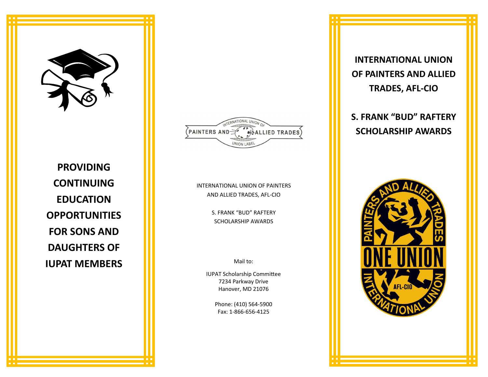

**PROVIDING CONTINUING EDUCATION OPPORTUNITIES FOR SONS AND DAUGHTERS OF IUPAT MEMBERS**



INTERNATIONAL UNION OF PAINTERS AND ALLIED TRADES, AFL-CIO

> S. FRANK "BUD" RAFTERY SCHOLARSHIP AWARDS

> > Mail to:

IUPAT Scholarship Committee 7234 Parkway Drive Hanover, MD 21076

> Phone: (410) 564-5900 Fax: 1-866-656-4125

**INTERNATIONAL UNION OF PAINTERS AND ALLIED TRADES, AFL-CIO**

**S. FRANK "BUD" RAFTERY SCHOLARSHIP AWARDS**